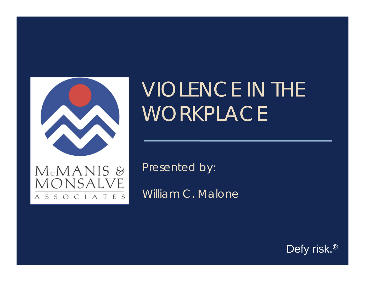

MONSALVE

 $\varsigma$  $\varsigma$  OCIATES

# VIOLENCE IN THE WORKPLACE

Presented by:

William C. Malone

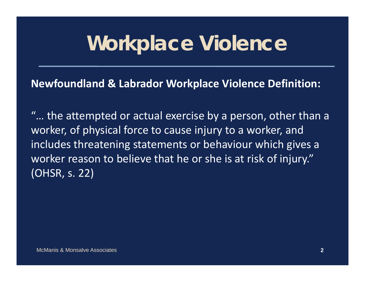## **Workplace Violence**

#### **Newfoundland & Labrador Workplace Violence Definition:**

"… the attempted or actual exercise by a person, other than a worker, of physical force to cause injury to a worker, and includes threatening statements or behaviour which gives a worker reason to believe that he or she is at risk of injury." (OHSR, s. 22)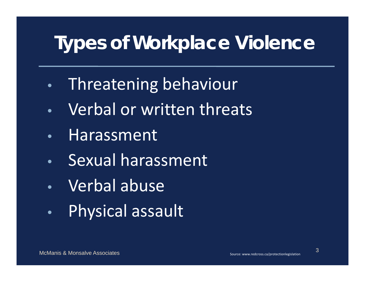### **Types of Workplace Violence**

- •Threatening behaviour
- $\bullet$ Verbal or written threats
- •Harassment
- $\bullet$ Sexual harassment
- •Verbal abuse
- $\bullet$ Physical assault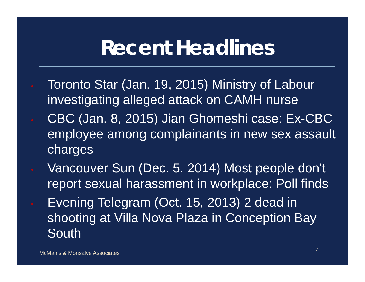### **Recent Headlines**

- Toronto Star (Jan. 19, 2015) Ministry of Labour investigating alleged attack on CAMH nurse
- CBC (Jan. 8, 2015) Jian Ghomeshi case: Ex-CBC employee among complainants in new sex assault charges
- Vancouver Sun (Dec. 5, 2014) Most people don't report sexual harassment in workplace: Poll finds Evening Telegram (Oct. 15, 2013) 2 dead in shooting at Villa Nova Plaza in Conception Bay
	- South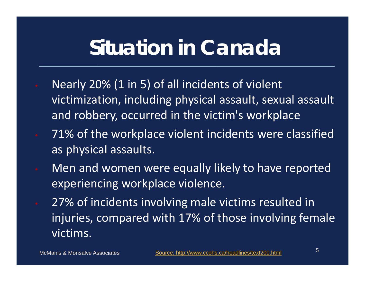### **Situation in Canada**

- Nearly 20% (1 in 5) of all incidents of violent victimization, including physical assault, sexual assault and robbery, occurred in the victim's workplace
- **71% of the workplace violent incidents were classified** as physical assaults.
- Men and women were equally likely to have reported experiencing workplace violence.
- 27% of incidents involving male victims resulted in injuries, compared with 17% of those involving female victims.

McManis & Monsalve Associates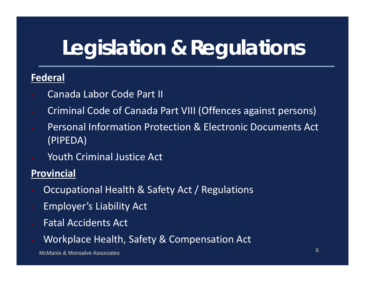# **Legislation & Regulations**

#### **Federal**

- Canada Labor Code Part II
- Criminal Code of Canada Part VIII (Offences against persons)
- Personal Information Protection & Electronic Documents Act (PIPEDA)
- Youth Criminal Justice Act

#### **Provincial**

- Occupational Health & Safety Act / Regulations
- Employer's Liability Act
- Fatal Accidents Act
- Workplace Health, Safety & Compensation Act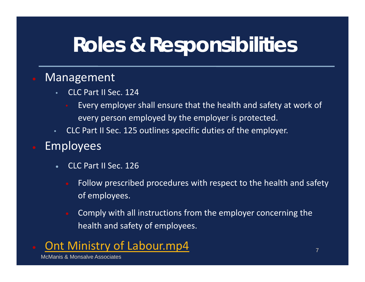# **Roles & Responsibilities**

#### Management

- • CLC Part II Sec. 124
	- Every employer shall ensure that the health and safety at work of every person employed by the employer is protected.
- CLC Part II Sec. 125 outlines specific duties of the employer.

#### Employees

- $\bullet$  CLC Part II Sec. 126
	- Follow prescribed procedures with respect to the health and safety of employees.
	- Comply with all instructions from the employer concerning the health and safety of employees.

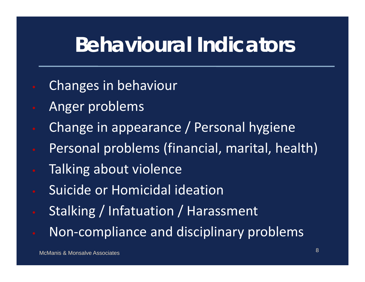## **Behavioural Indicators**

- Changes in behaviour
- Anger problems
- Change in appearance / Personal hygiene
- Personal problems (financial, marital, health)
- Talking about violence
- **Suicide or Homicidal ideation**
- Stalking / Infatuation / Harassment
- Non‐compliance and disciplinary problems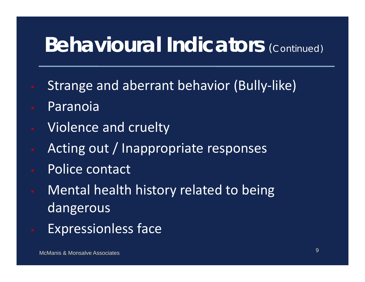## **Behavioural Indicators (Continued)**

- Strange and aberrant behavior (Bully‐like)
- Paranoia
- Violence and cruelty
- Acting out / Inappropriate responses
- Police contact
- **Mental health history related to being** dangerous
- Expressionless face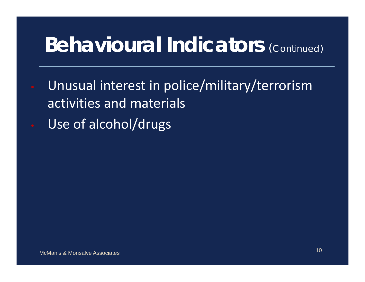## **Behavioural Indicators (Continued)**

- Unusual interest in police/military/terrorism activities and materials
- Use of alcohol/drugs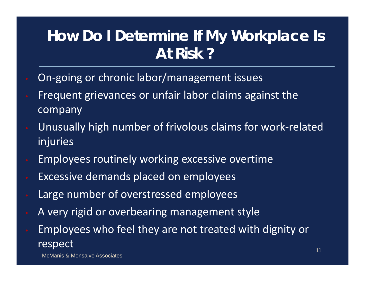#### **How Do I Determine If My Workplace Is At Risk ?**

- On‐going or chronic labor/management issues
- Frequent grievances or unfair labor claims against the company
- Unusually high number of frivolous claims for work‐related injuries
- Employees routinely working excessive overtime
- Excessive demands placed on employees
- Large number of overstressed employees
- A very rigid or overbearing management style
- Employees who feel they are not treated with dignity or respect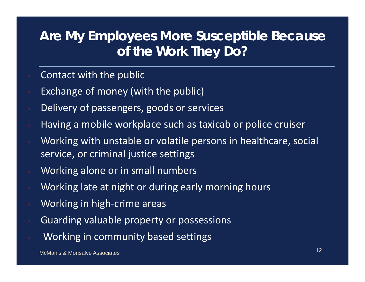#### **Are My Employees More Susceptible Because of the Work They Do?**

- **Contact with the public**
- Exchange of money (with the public)
- Delivery of passengers, goods or services
- Having <sup>a</sup> mobile workplace such as taxicab or police cruiser
- Working with unstable or volatile persons in healthcare, social service, or criminal justice settings
- Working alone or in small numbers
- Working late at night or during early morning hours
- Working in high‐crime areas
- Guarding valuable property or possessions
- Working in community based settings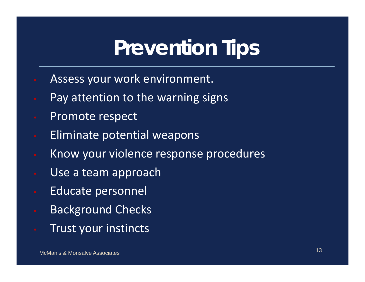## **Prevention Tips**

- Assess your work environment.
	- Pay attention to the warning signs
- **Promote respect**
- **Eliminate potential weapons**
- **Know your violence response procedures**
- Use a team approach
- **Educate personnel**
- Background Checks
- Trust your instincts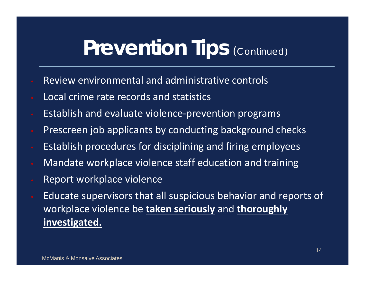### **Prevention Tips (Continued)**

- Review environmental and administrative controls
- Local crime rate records and statistics
- Establish and evaluate violence‐prevention programs
- Prescreen job applicants by conducting background checks
- Establish procedures for disciplining and firing employees
- Mandate workplace violence staff education and training
- Report workplace violence
- Educate supervisors that all suspicious behavior and reports of workplace violence be **taken seriously** and **thoroughly investigated.**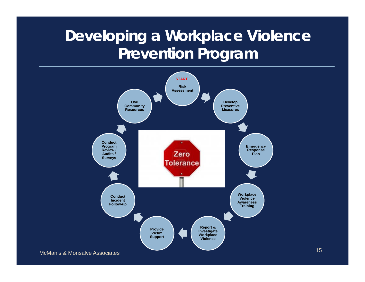#### **Developing a Workplace Violence Prevention Program**

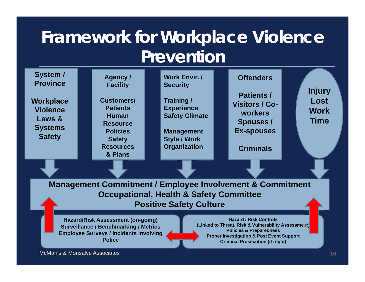#### **Framework for Workplace Violence Prevention**

| System /<br><b>Province</b><br>Workplace<br><b>Violence</b><br>Laws &<br><b>Systems</b><br><b>Safety</b>                                                                                                                                                                                                                                                                                   |  | Agency /<br><b>Facility</b><br><b>Customers/</b><br><b>Patients</b><br><b>Human</b><br><b>Resource</b><br><b>Policies</b><br><b>Safety</b><br><b>Resources</b><br>& Plans |  | <b>Work Envir. /</b><br><b>Security</b><br>Training /<br><b>Experience</b><br><b>Safety Climate</b><br><b>Management</b><br><b>Style / Work</b><br><b>Organization</b> |  | <b>Offenders</b><br><b>Patients /</b><br><b>Visitors / Co-</b><br><b>workers</b><br><b>Spouses /</b><br><b>Ex-spouses</b><br><b>Criminals</b> |  | <b>Injury</b><br>Lost<br><b>Work</b><br><b>Time</b> |
|--------------------------------------------------------------------------------------------------------------------------------------------------------------------------------------------------------------------------------------------------------------------------------------------------------------------------------------------------------------------------------------------|--|---------------------------------------------------------------------------------------------------------------------------------------------------------------------------|--|------------------------------------------------------------------------------------------------------------------------------------------------------------------------|--|-----------------------------------------------------------------------------------------------------------------------------------------------|--|-----------------------------------------------------|
|                                                                                                                                                                                                                                                                                                                                                                                            |  |                                                                                                                                                                           |  |                                                                                                                                                                        |  |                                                                                                                                               |  |                                                     |
| <b>Management Commitment / Employee Involvement &amp; Commitment</b><br><b>Occupational, Health &amp; Safety Committee</b><br><b>Positive Safety Culture</b>                                                                                                                                                                                                                               |  |                                                                                                                                                                           |  |                                                                                                                                                                        |  |                                                                                                                                               |  |                                                     |
| <b>Hazard / Risk Controls</b><br><b>Hazard/Risk Assessment (on-going)</b><br>(Linked to Threat, Risk & Vulnerability Assessment)<br><b>Surveillance / Benchmarking / Metrics</b><br><b>Policies &amp; Preparedness</b><br><b>Employee Surveys / Incidents involving</b><br><b>Proper Investigation &amp; Post Event Support</b><br><b>Police</b><br><b>Criminal Prosecution (if req'd)</b> |  |                                                                                                                                                                           |  |                                                                                                                                                                        |  |                                                                                                                                               |  |                                                     |
| <b>McManis &amp; Monsalve Associates</b><br>16                                                                                                                                                                                                                                                                                                                                             |  |                                                                                                                                                                           |  |                                                                                                                                                                        |  |                                                                                                                                               |  |                                                     |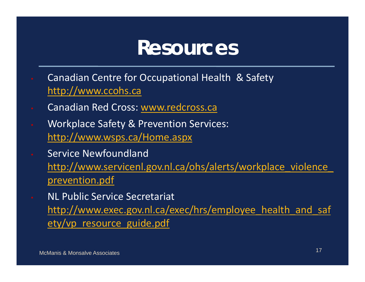#### **Resources**

- Canadian Centre for Occupational Health & Safety http://www.ccohs.ca
- Canadian Red Cross: www.redcross.ca
- Workplace Safety & Prevention Services: http://www.wsps.ca/Home.aspx
- **Service Newfoundland** http://www.servicenl.gov.nl.ca/ohs/alerts/workplace\_violence prevention.pdf
- NL Public Service Secretariat http://www.exec.gov.nl.ca/exec/hrs/employee health and saf ety/vp\_resource\_guide.pdf